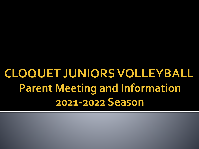**CLOQUET JUNIORS VOLLEYBALL Parent Meeting and Information 2021-2022 Season**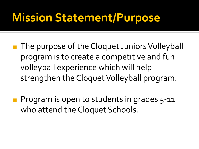### **Mission Statement/Purpose**

- The purpose of the Cloquet Juniors Volleyball program is to create a competitive and fun volleyball experience which will help strengthen the Cloquet Volleyball program.
- Program is open to students in grades 5-11 who attend the Cloquet Schools.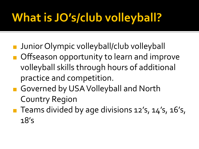# **What is JO's/club volleyball?**

- ◼ Junior Olympic volleyball/club volleyball
- Offseason opportunity to learn and improve volleyball skills through hours of additional practice and competition.
- Governed by USA Volleyball and North Country Region
- Teams divided by age divisions 12's, 14's, 16's, 18's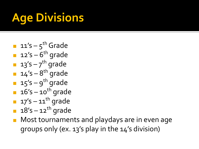## **Age Divisions**

- $\blacksquare$  11's 5<sup>th</sup> Grade
- $\blacksquare$  12's 6<sup>th</sup> grade
- $\blacksquare$  13's 7<sup>th</sup> grade
- $\blacksquare$  14's 8<sup>th</sup> grade
- $\blacksquare$  15's 9<sup>th</sup> grade
- $\blacksquare$  16's 10<sup>th</sup> grade
- $\blacksquare$  17's 11<sup>th</sup> grade
- $\blacksquare$  18's  $-$  12<sup>th</sup> grade
- Most tournaments and playdays are in even age groups only (ex. 13's play in the 14's division)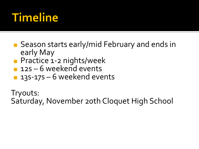## **Timeline**

- Season starts early/mid February and ends in early May
- Practice 1-2 nights/week
- $12s 6$  weekend events
- 13S-17S 6 weekend events

Tryouts: Saturday, November 20th Cloquet High School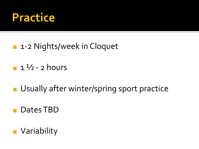

- 1-2 Nights/week in Cloquet
- $\blacksquare$  1  $\frac{1}{2}$  2 hours
- Usually after winter/spring sport practice
- Dates TBD
- Variability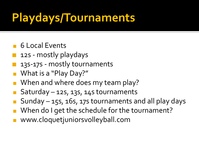## **Playdays/Tournaments**

- 6 Local Events
- 12s mostly playdays
- 135-175 mostly tournaments
- What is a "Play Day?"
- When and where does my team play?
- Saturday  $-$  12s, 13s, 14s tournaments
- $Sunday 15s, 16s, 17s$  tournaments and all play days
- When do I get the schedule for the tournament?
- www.cloquetjuniorsvolleyball.com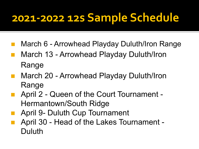### **2021-2022 12s Sample Schedule**

- March 6 Arrowhead Playday Duluth/Iron Range
- March 13 Arrowhead Playday Duluth/Iron Range
- March 20 Arrowhead Playday Duluth/Iron Range
- April 2 Queen of the Court Tournament -Hermantown/South Ridge
- April 9- Duluth Cup Tournament
- April 30 Head of the Lakes Tournament -Duluth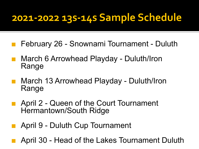#### **2021-2022 13s-14s Sample Schedule**

- ◼ February 26 Snownami Tournament Duluth
- March 6 Arrowhead Playday Duluth/Iron Range
- March 13 Arrowhead Playday Duluth/Iron Range
- April 2 Queen of the Court Tournament Hermantown/South Ridge
- April 9 Duluth Cup Tournament
- April 30 Head of the Lakes Tournament Duluth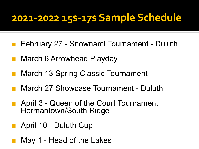#### **2021-2022 15s-17s Sample Schedule**

- ◼ February 27 Snownami Tournament Duluth
- March 6 Arrowhead Playday
- March 13 Spring Classic Tournament
- March 27 Showcase Tournament Duluth
- April 3 Queen of the Court Tournament Hermantown/South Ridge
- April 10 Duluth Cup
- May 1 Head of the Lakes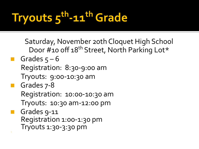# **Tryouts 5th-11th Grade**

Saturday, November 20th Cloquet High School Door #10 off 18<sup>th</sup> Street, North Parking Lot\*

- $\blacksquare$  Grades  $5 6$ Registration: 8:30-9:00 am Tryouts: 9:00-10:30 am
- Grades 7-8 Registration: 10:00-10:30 am Tryouts: 10:30 am-12:00 pm
- Grades 9-11 Registration 1:00-1:30 pm ¡ Tryouts 1:30-3:30 pm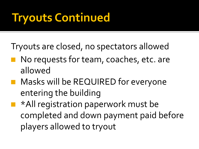## **Tryouts Continued**

Tryouts are closed, no spectators allowed

- No requests for team, coaches, etc. are allowed
- Masks will be REQUIRED for everyone entering the building
	- ◼ \*All registration paperwork must be completed and down payment paid before players allowed to tryout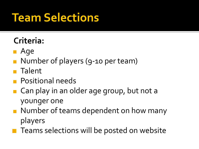### **Team Selections**

#### **Criteria:**

- ◼ Age
- Number of players (9-10 per team)
- Talent
- Positional needs
- Can play in an older age group, but not a younger one
- Number of teams dependent on how many players
- Teams selections will be posted on website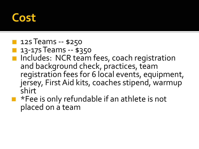### **Cost**

- **12s Teams -- \$250**
- 13-17s Teams -- \$350
- Includes: NCR team fees, coach registration and background check, practices, team registration fees for 6 local events, equipment, jersey, First Aid kits, coaches stipend, warmup shirt
- \*Fee is only refundable if an athlete is not placed on a team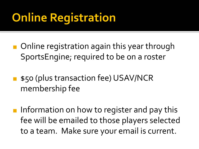## **Online Registration**

- Online registration again this year through SportsEngine; required to be on a roster
- \$50 (plus transaction fee) USAV/NCR membership fee
- Information on how to register and pay this fee will be emailed to those players selected to a team. Make sure your email is current.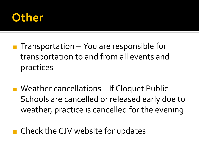

- $\blacksquare$  Transportation You are responsible for transportation to and from all events and practices
- Weather cancellations If Cloquet Public Schools are cancelled or released early due to weather, practice is cancelled for the evening
- Check the CJV website for updates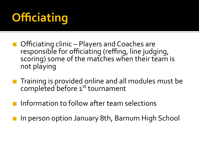## **Officiating**

- Officiating clinic Players and Coaches are responsible for officiating (reffing, line judging, scoring) some of the matches when their team is not playing
- Training is provided online and all modules must be completed before 1<sup>st</sup> tournament
	- Information to follow after team selections
- In person option January 8th, Barnum High School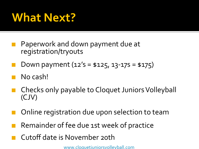#### **What Next?**

- ◼ Paperwork and down payment due at registration/tryouts
- Down payment  $(12's = $125, 13-17s = $175)$
- No cash!
- Checks only payable to Cloquet Juniors Volleyball (CJV)
- Online registration due upon selection to team
- Remainder of fee due 1st week of practice
- ◼ Cutoff date is November 20th

[www.cloquetjuniorsvolleyball.com](http://www.cloquetjuniorsvolleyball.com/)